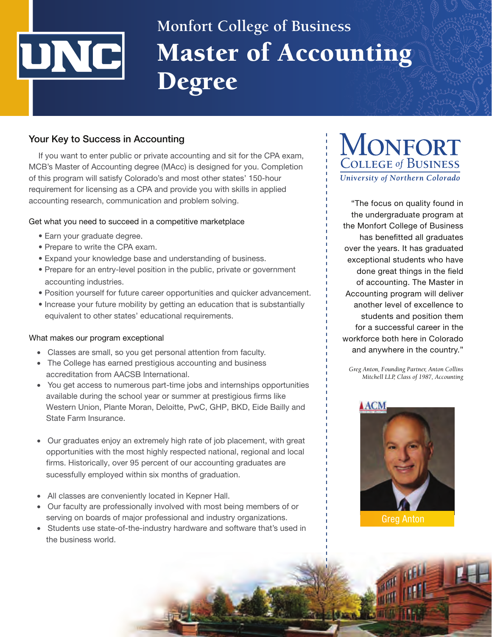# UNC

# Master of Accounting Degree **Monfort College of Business**

# **Your Key to Success in Accounting**

If you want to enter public or private accounting and sit for the CPA exam, MCB's Master of Accounting degree (MAcc) is designed for you. Completion of this program will satisfy Colorado's and most other states' 150-hour requirement for licensing as a CPA and provide you with skills in applied accounting research, communication and problem solving.

# Get what you need to succeed in a competitive marketplace

- Earn your graduate degree.
- Prepare to write the CPA exam.
- Expand your knowledge base and understanding of business.
- Prepare for an entry-level position in the public, private or government accounting industries.
- Position yourself for future career opportunities and quicker advancement.
- Increase your future mobility by getting an education that is substantially equivalent to other states' educational requirements.

#### What makes our program exceptional

- Classes are small, so you get personal attention from faculty.
- The College has earned prestigious accounting and business accreditation from AACSB International.
- You get access to numerous part-time jobs and internships opportunities available during the school year or summer at prestigious firms like Western Union, Plante Moran, Deloitte, PwC, GHP, BKD, Eide Bailly and State Farm Insurance.
- Our graduates enjoy an extremely high rate of job placement, with great opportunities with the most highly respected national, regional and local firms. Historically, over 95 percent of our accounting graduates are sucessfully employed within six months of graduation.
- All classes are conveniently located in Kepner Hall.
- Our faculty are professionally involved with most being members of or serving on boards of major professional and industry organizations.
- Students use state-of-the-industry hardware and software that's used in the business world.

# **MONFORT**  COLLEGE *of* BUSINESS *University of Northern Colorado*

"The focus on quality found in the undergraduate program at the Monfort College of Business has benefitted all graduates over the years. It has graduated exceptional students who have done great things in the field of accounting. The Master in Accounting program will deliver another level of excellence to students and position them for a successful career in the workforce both here in Colorado and anywhere in the country."

*Greg Anton, Founding Partner, Anton Collins Mitchell LLP, Class of 1987, Accounting*

Stern Wolf